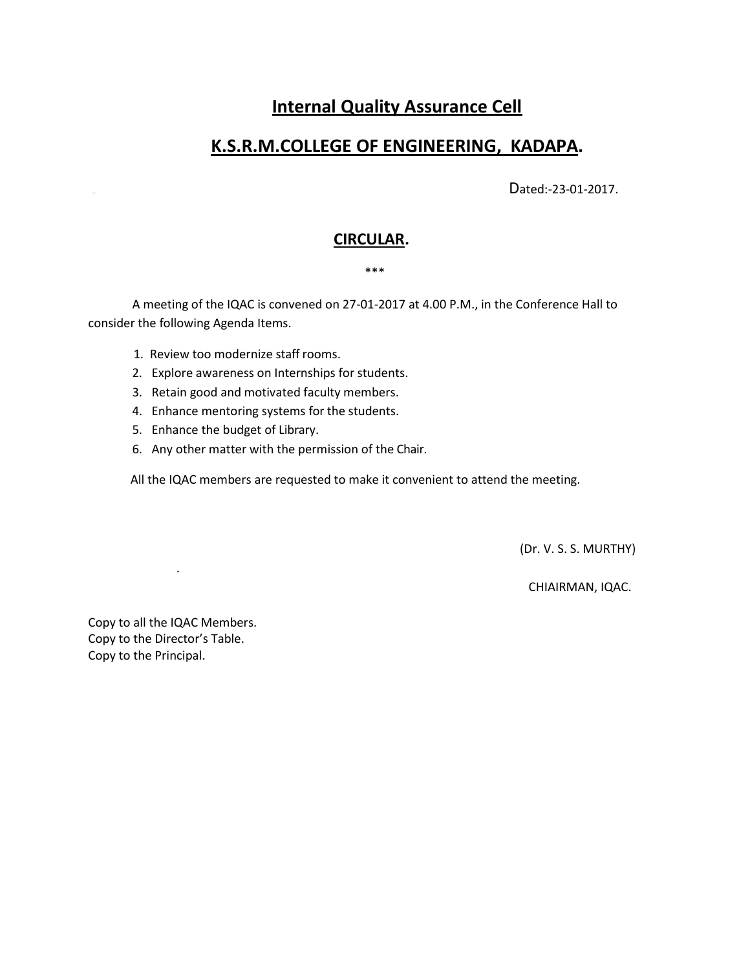# **Internal Quality Assurance Cell**

## **K.S.R.M.COLLEGE OF ENGINEERING, KADAPA.**

Dated:-23-01-2017.

### **CIRCULAR.**

#### \*\*\*

A meeting of the IQAC is convened on 27-01-2017 at 4.00 P.M., in the Conference Hall to consider the following Agenda Items.

- 1. Review too modernize staff rooms.
- 2. Explore awareness on Internships for students.
- 3. Retain good and motivated faculty members.
- 4. Enhance mentoring systems for the students.
- 5. Enhance the budget of Library.
- 6. Any other matter with the permission of the Chair.

All the IQAC members are requested to make it convenient to attend the meeting.

(Dr. V. S. S. MURTHY)

CHIAIRMAN, IQAC.

Copy to all the IQAC Members. Copy to the Director's Table. Copy to the Principal.

.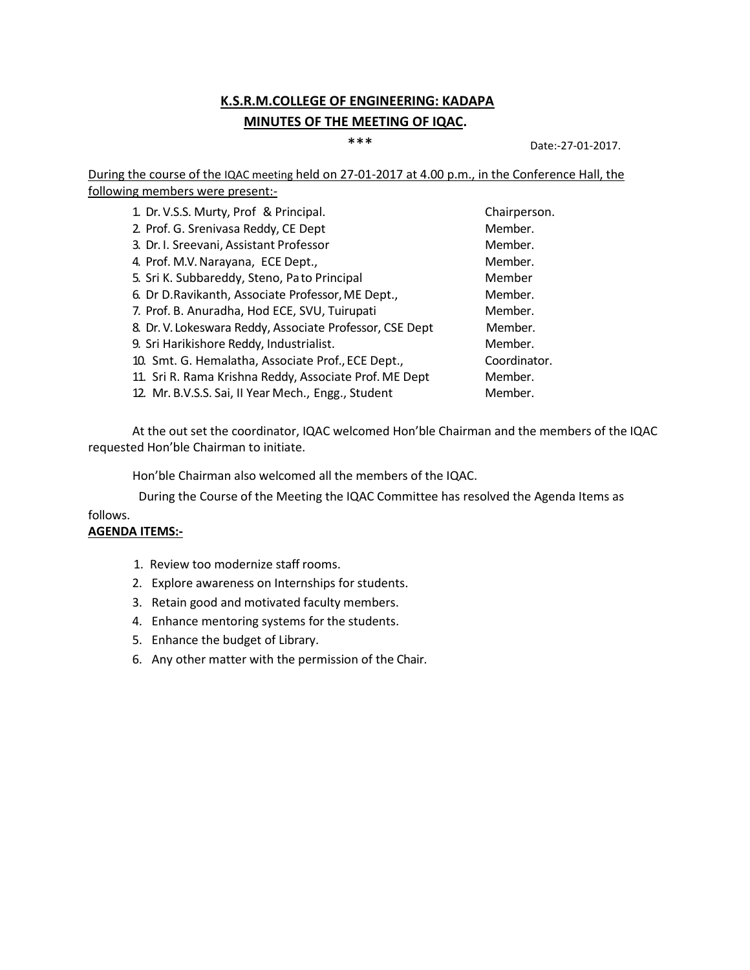### **K.S.R.M.COLLEGE OF ENGINEERING: KADAPA MINUTES OF THE MEETING OF IQAC.**

\*\*\* Date:-27-01-2017.

During the course of the IQAC meeting held on 27-01-2017 at 4.00 p.m., in the Conference Hall, the following members were present:-

| 1. Dr. V.S.S. Murty, Prof & Principal.                   | Chairperson. |
|----------------------------------------------------------|--------------|
| 2. Prof. G. Srenivasa Reddy, CE Dept                     | Member.      |
| 3. Dr. I. Sreevani, Assistant Professor                  | Member.      |
| 4. Prof. M.V. Narayana, ECE Dept.,                       | Member.      |
| 5. Sri K. Subbareddy, Steno, Pato Principal              | Member       |
| 6. Dr D.Ravikanth, Associate Professor, ME Dept.,        | Member.      |
| 7. Prof. B. Anuradha, Hod ECE, SVU, Tuirupati            | Member.      |
| 8. Dr. V. Lokeswara Reddy, Associate Professor, CSE Dept | Member.      |
| 9. Sri Harikishore Reddy, Industrialist.                 | Member.      |
| 10. Smt. G. Hemalatha, Associate Prof., ECE Dept.,       | Coordinator. |
| 11. Sri R. Rama Krishna Reddy, Associate Prof. ME Dept   | Member.      |
| 12. Mr. B.V.S.S. Sai, II Year Mech., Engg., Student      | Member.      |

At the out set the coordinator, IQAC welcomed Hon'ble Chairman and the members of the IQAC requested Hon'ble Chairman to initiate.

Hon'ble Chairman also welcomed all the members of the IQAC.

During the Course of the Meeting the IQAC Committee has resolved the Agenda Items as

#### follows. **AGENDA ITEMS:-**

- 1. Review too modernize staff rooms.
- 2. Explore awareness on Internships for students.
- 3. Retain good and motivated faculty members.
- 4. Enhance mentoring systems for the students.
- 5. Enhance the budget of Library.
- 6. Any other matter with the permission of the Chair.